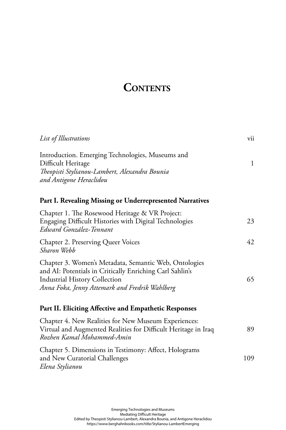## **CONTENTS**

| List of Illustrations                                                                                                                                                                                       | vii          |
|-------------------------------------------------------------------------------------------------------------------------------------------------------------------------------------------------------------|--------------|
| Introduction. Emerging Technologies, Museums and<br>Difficult Heritage<br>Theopisti Stylianou-Lambert, Alexandra Bounia<br>and Antigone Heraclidou                                                          | $\mathbf{1}$ |
| Part I. Revealing Missing or Underrepresented Narratives                                                                                                                                                    |              |
| Chapter 1. The Rosewood Heritage & VR Project:<br>Engaging Difficult Histories with Digital Technologies<br>Edward González-Tennant                                                                         | 23           |
| Chapter 2. Preserving Queer Voices<br>Sharon Webb                                                                                                                                                           | 42           |
| Chapter 3. Women's Metadata, Semantic Web, Ontologies<br>and AI: Potentials in Critically Enriching Carl Sahlin's<br><b>Industrial History Collection</b><br>Anna Foka, Jenny Attemark and Fredrik Wahlberg | 65           |
| Part II. Eliciting Affective and Empathetic Responses                                                                                                                                                       |              |
| Chapter 4. New Realities for New Museum Experiences:<br>Virtual and Augmented Realities for Difficult Heritage in Iraq<br>Rozhen Kamal Mohammed-Amin                                                        | 89           |
| Chapter 5. Dimensions in Testimony: Affect, Holograms<br>and New Curatorial Challenges<br>Elena Stylianou                                                                                                   | 109          |